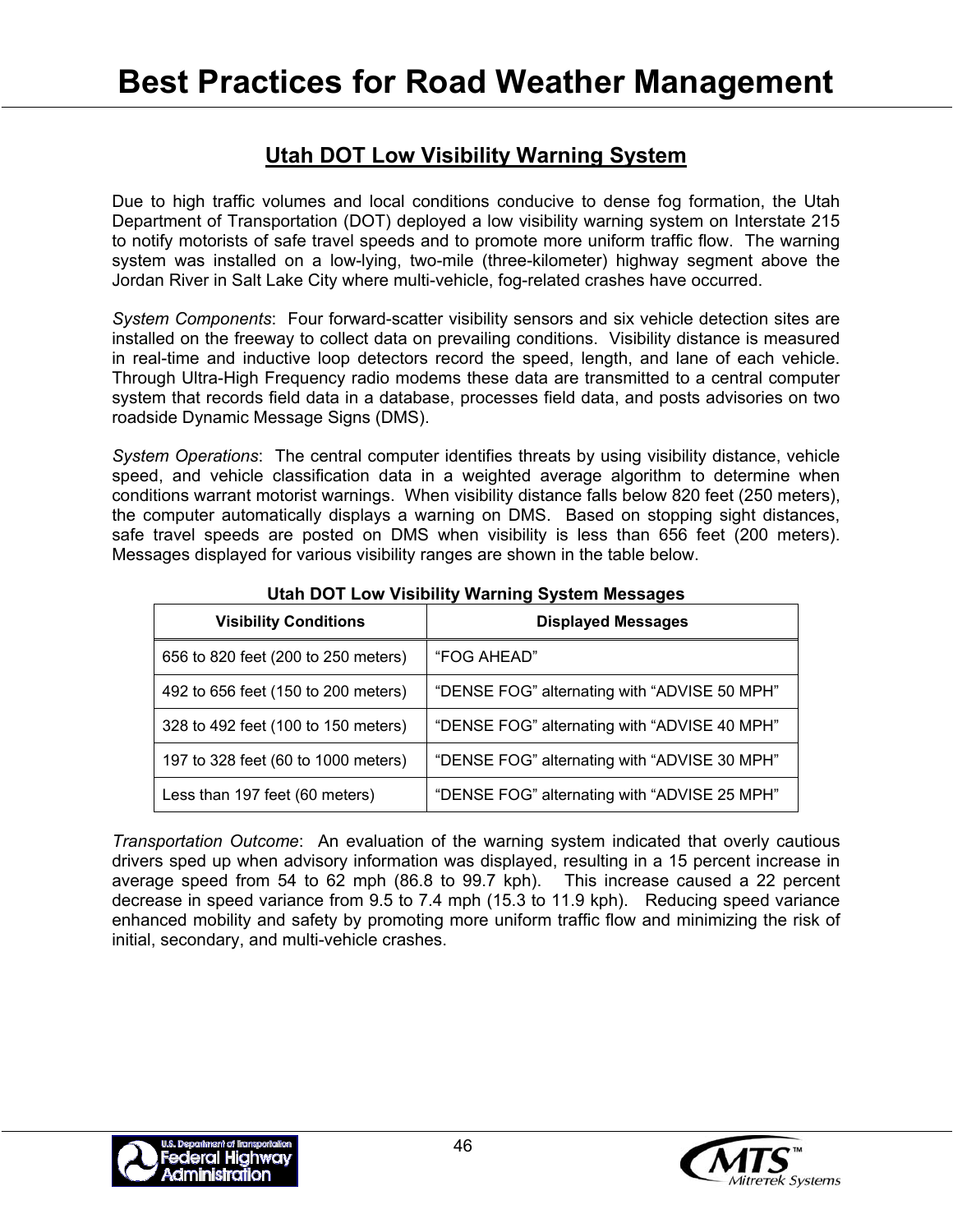## **Utah DOT Low Visibility Warning System**

Due to high traffic volumes and local conditions conducive to dense fog formation, the Utah Department of Transportation (DOT) deployed a low visibility warning system on Interstate 215 to notify motorists of safe travel speeds and to promote more uniform traffic flow. The warning system was installed on a low-lying, two-mile (three-kilometer) highway segment above the Jordan River in Salt Lake City where multi-vehicle, fog-related crashes have occurred.

*System Components*: Four forward-scatter visibility sensors and six vehicle detection sites are installed on the freeway to collect data on prevailing conditions. Visibility distance is measured in real-time and inductive loop detectors record the speed, length, and lane of each vehicle. Through Ultra-High Frequency radio modems these data are transmitted to a central computer system that records field data in a database, processes field data, and posts advisories on two roadside Dynamic Message Signs (DMS).

*System Operations*: The central computer identifies threats by using visibility distance, vehicle speed, and vehicle classification data in a weighted average algorithm to determine when conditions warrant motorist warnings. When visibility distance falls below 820 feet (250 meters), the computer automatically displays a warning on DMS. Based on stopping sight distances, safe travel speeds are posted on DMS when visibility is less than 656 feet (200 meters). Messages displayed for various visibility ranges are shown in the table below.

| <b>Visibility Conditions</b>        | <b>Displayed Messages</b>                    |
|-------------------------------------|----------------------------------------------|
| 656 to 820 feet (200 to 250 meters) | "FOG AHEAD"                                  |
| 492 to 656 feet (150 to 200 meters) | "DENSE FOG" alternating with "ADVISE 50 MPH" |
| 328 to 492 feet (100 to 150 meters) | "DENSE FOG" alternating with "ADVISE 40 MPH" |
| 197 to 328 feet (60 to 1000 meters) | "DENSE FOG" alternating with "ADVISE 30 MPH" |
| Less than 197 feet (60 meters)      | "DENSE FOG" alternating with "ADVISE 25 MPH" |

**Utah DOT Low Visibility Warning System Messages** 

*Transportation Outcome*: An evaluation of the warning system indicated that overly cautious drivers sped up when advisory information was displayed, resulting in a 15 percent increase in average speed from 54 to 62 mph (86.8 to 99.7 kph). This increase caused a 22 percent decrease in speed variance from 9.5 to 7.4 mph (15.3 to 11.9 kph). Reducing speed variance enhanced mobility and safety by promoting more uniform traffic flow and minimizing the risk of initial, secondary, and multi-vehicle crashes.